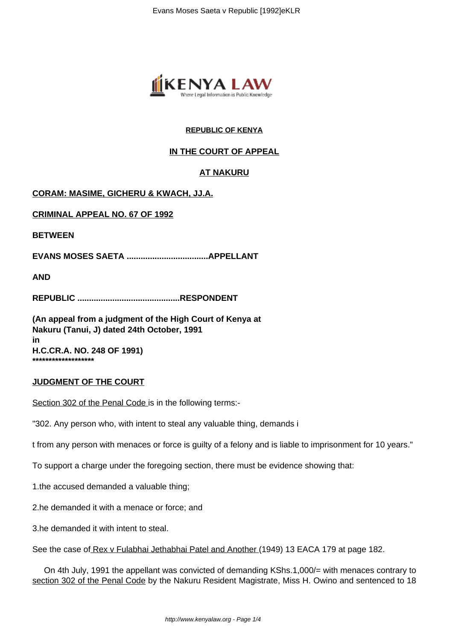

# **REPUBLIC OF KENYA**

# **IN THE COURT OF APPEAL**

# **AT NAKURU**

# **CORAM: MASIME, GICHERU & KWACH, JJ.A.**

**CRIMINAL APPEAL NO. 67 OF 1992**

**BETWEEN**

**EVANS MOSES SAETA ...................................APPELLANT**

**AND**

**REPUBLIC ............................................RESPONDENT**

**(An appeal from a judgment of the High Court of Kenya at Nakuru (Tanui, J) dated 24th October, 1991 in H.C.CR.A. NO. 248 OF 1991) \*\*\*\*\*\*\*\*\*\*\*\*\*\*\*\*\*\*\***

### **JUDGMENT OF THE COURT**

Section 302 of the Penal Code is in the following terms:-

"302. Any person who, with intent to steal any valuable thing, demands i

t from any person with menaces or force is guilty of a felony and is liable to imprisonment for 10 years."

To support a charge under the foregoing section, there must be evidence showing that:

1.the accused demanded a valuable thing;

2.he demanded it with a menace or force; and

3.he demanded it with intent to steal.

See the case of Rex v Fulabhai Jethabhai Patel and Another (1949) 13 EACA 179 at page 182.

 On 4th July, 1991 the appellant was convicted of demanding KShs.1,000/= with menaces contrary to section 302 of the Penal Code by the Nakuru Resident Magistrate, Miss H. Owino and sentenced to 18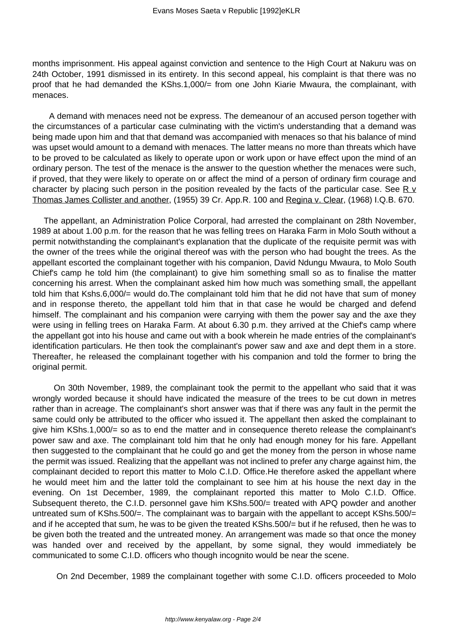months imprisonment. His appeal against conviction and sentence to the High Court at Nakuru was on 24th October, 1991 dismissed in its entirety. In this second appeal, his complaint is that there was no proof that he had demanded the KShs.1,000/= from one John Kiarie Mwaura, the complainant, with menaces.

 A demand with menaces need not be express. The demeanour of an accused person together with the circumstances of a particular case culminating with the victim's understanding that a demand was being made upon him and that that demand was accompanied with menaces so that his balance of mind was upset would amount to a demand with menaces. The latter means no more than threats which have to be proved to be calculated as likely to operate upon or work upon or have effect upon the mind of an ordinary person. The test of the menace is the answer to the question whether the menaces were such, if proved, that they were likely to operate on or affect the mind of a person of ordinary firm courage and character by placing such person in the position revealed by the facts of the particular case. See R  $\vee$ Thomas James Collister and another, (1955) 39 Cr. App.R. 100 and Regina v. Clear, (1968) I.Q.B. 670.

 The appellant, an Administration Police Corporal, had arrested the complainant on 28th November, 1989 at about 1.00 p.m. for the reason that he was felling trees on Haraka Farm in Molo South without a permit notwithstanding the complainant's explanation that the duplicate of the requisite permit was with the owner of the trees while the original thereof was with the person who had bought the trees. As the appellant escorted the complainant together with his companion, David Ndungu Mwaura, to Molo South Chief's camp he told him (the complainant) to give him something small so as to finalise the matter concerning his arrest. When the complainant asked him how much was something small, the appellant told him that Kshs.6,000/= would do.The complainant told him that he did not have that sum of money and in response thereto, the appellant told him that in that case he would be charged and defend himself. The complainant and his companion were carrying with them the power say and the axe they were using in felling trees on Haraka Farm. At about 6.30 p.m. they arrived at the Chief's camp where the appellant got into his house and came out with a book wherein he made entries of the complainant's identification particulars. He then took the complainant's power saw and axe and dept them in a store. Thereafter, he released the complainant together with his companion and told the former to bring the original permit.

 On 30th November, 1989, the complainant took the permit to the appellant who said that it was wrongly worded because it should have indicated the measure of the trees to be cut down in metres rather than in acreage. The complainant's short answer was that if there was any fault in the permit the same could only be attributed to the officer who issued it. The appellant then asked the complainant to give him KShs.1,000/= so as to end the matter and in consequence thereto release the complainant's power saw and axe. The complainant told him that he only had enough money for his fare. Appellant then suggested to the complainant that he could go and get the money from the person in whose name the permit was issued. Realizing that the appellant was not inclined to prefer any charge against him, the complainant decided to report this matter to Molo C.I.D. Office.He therefore asked the appellant where he would meet him and the latter told the complainant to see him at his house the next day in the evening. On 1st December, 1989, the complainant reported this matter to Molo C.I.D. Office. Subsequent thereto, the C.I.D. personnel gave him KShs.500/= treated with APQ powder and another untreated sum of KShs.500/=. The complainant was to bargain with the appellant to accept KShs.500/= and if he accepted that sum, he was to be given the treated KShs.500/= but if he refused, then he was to be given both the treated and the untreated money. An arrangement was made so that once the money was handed over and received by the appellant, by some signal, they would immediately be communicated to some C.I.D. officers who though incognito would be near the scene.

On 2nd December, 1989 the complainant together with some C.I.D. officers proceeded to Molo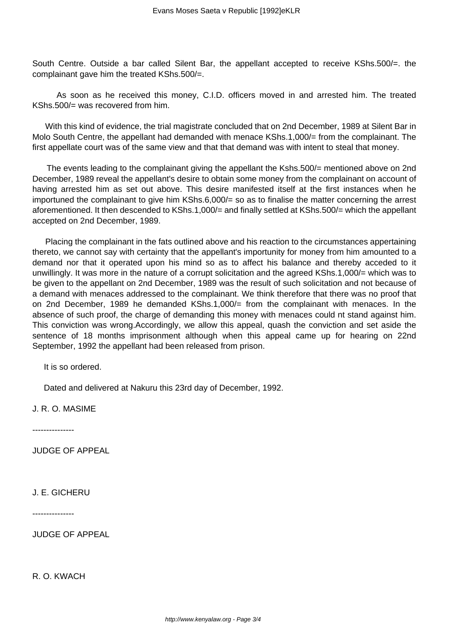South Centre. Outside a bar called Silent Bar, the appellant accepted to receive KShs.500/=. the complainant gave him the treated KShs.500/=.

 As soon as he received this money, C.I.D. officers moved in and arrested him. The treated KShs.500/= was recovered from him.

 With this kind of evidence, the trial magistrate concluded that on 2nd December, 1989 at Silent Bar in Molo South Centre, the appellant had demanded with menace KShs.1,000/= from the complainant. The first appellate court was of the same view and that that demand was with intent to steal that money.

The events leading to the complainant giving the appellant the Kshs.500/= mentioned above on 2nd December, 1989 reveal the appellant's desire to obtain some money from the complainant on account of having arrested him as set out above. This desire manifested itself at the first instances when he importuned the complainant to give him KShs.6,000/= so as to finalise the matter concerning the arrest aforementioned. It then descended to KShs.1,000/= and finally settled at KShs.500/= which the appellant accepted on 2nd December, 1989.

 Placing the complainant in the fats outlined above and his reaction to the circumstances appertaining thereto, we cannot say with certainty that the appellant's importunity for money from him amounted to a demand nor that it operated upon his mind so as to affect his balance and thereby acceded to it unwillingly. It was more in the nature of a corrupt solicitation and the agreed KShs.1,000/= which was to be given to the appellant on 2nd December, 1989 was the result of such solicitation and not because of a demand with menaces addressed to the complainant. We think therefore that there was no proof that on 2nd December, 1989 he demanded KShs.1,000/= from the complainant with menaces. In the absence of such proof, the charge of demanding this money with menaces could nt stand against him. This conviction was wrong.Accordingly, we allow this appeal, quash the conviction and set aside the sentence of 18 months imprisonment although when this appeal came up for hearing on 22nd September, 1992 the appellant had been released from prison.

It is so ordered.

Dated and delivered at Nakuru this 23rd day of December, 1992.

J. R. O. MASIME

---------------

JUDGE OF APPEAL

J. E. GICHERU

---------------

JUDGE OF APPEAL

R. O. KWACH